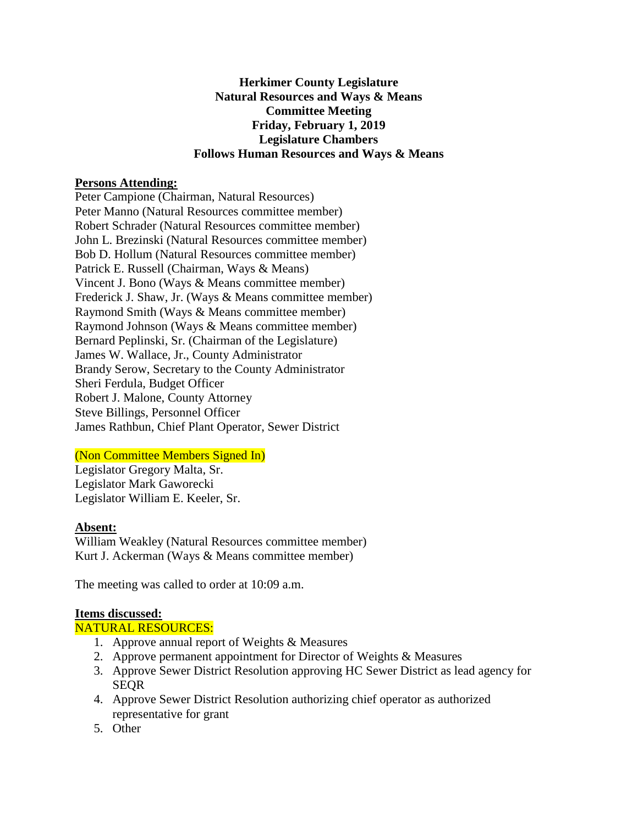### **Herkimer County Legislature Natural Resources and Ways & Means Committee Meeting Friday, February 1, 2019 Legislature Chambers Follows Human Resources and Ways & Means**

### **Persons Attending:**

Peter Campione (Chairman, Natural Resources) Peter Manno (Natural Resources committee member) Robert Schrader (Natural Resources committee member) John L. Brezinski (Natural Resources committee member) Bob D. Hollum (Natural Resources committee member) Patrick E. Russell (Chairman, Ways & Means) Vincent J. Bono (Ways & Means committee member) Frederick J. Shaw, Jr. (Ways & Means committee member) Raymond Smith (Ways & Means committee member) Raymond Johnson (Ways & Means committee member) Bernard Peplinski, Sr. (Chairman of the Legislature) James W. Wallace, Jr., County Administrator Brandy Serow, Secretary to the County Administrator Sheri Ferdula, Budget Officer Robert J. Malone, County Attorney Steve Billings, Personnel Officer James Rathbun, Chief Plant Operator, Sewer District

# (Non Committee Members Signed In)

Legislator Gregory Malta, Sr. Legislator Mark Gaworecki Legislator William E. Keeler, Sr.

### **Absent:**

William Weakley (Natural Resources committee member) Kurt J. Ackerman (Ways & Means committee member)

The meeting was called to order at 10:09 a.m.

### **Items discussed:**

### NATURAL RESOURCES:

- 1. Approve annual report of Weights & Measures
- 2. Approve permanent appointment for Director of Weights & Measures
- 3. Approve Sewer District Resolution approving HC Sewer District as lead agency for **SEOR**
- 4. Approve Sewer District Resolution authorizing chief operator as authorized representative for grant
- 5. Other